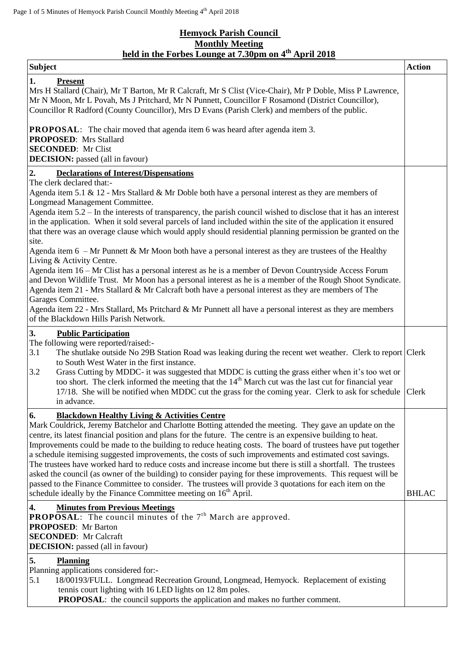## **Hemyock Parish Council Monthly Meeting held in the Forbes Lounge at 7.30pm on 4 th April 2018**

| <b>Subject</b>                                                                                                                                                                                                                                                                                                                                                                                                                                                                                                                                                                                                                                                                                                                                                                                                                                                                                                                                                                                                                                                                         | <b>Action</b> |
|----------------------------------------------------------------------------------------------------------------------------------------------------------------------------------------------------------------------------------------------------------------------------------------------------------------------------------------------------------------------------------------------------------------------------------------------------------------------------------------------------------------------------------------------------------------------------------------------------------------------------------------------------------------------------------------------------------------------------------------------------------------------------------------------------------------------------------------------------------------------------------------------------------------------------------------------------------------------------------------------------------------------------------------------------------------------------------------|---------------|
| 1.<br><b>Present</b><br>Mrs H Stallard (Chair), Mr T Barton, Mr R Calcraft, Mr S Clist (Vice-Chair), Mr P Doble, Miss P Lawrence,<br>Mr N Moon, Mr L Povah, Ms J Pritchard, Mr N Punnett, Councillor F Rosamond (District Councillor),<br>Councillor R Radford (County Councillor), Mrs D Evans (Parish Clerk) and members of the public.                                                                                                                                                                                                                                                                                                                                                                                                                                                                                                                                                                                                                                                                                                                                              |               |
| <b>PROPOSAL:</b> The chair moved that agenda item 6 was heard after agenda item 3.<br><b>PROPOSED:</b> Mrs Stallard<br><b>SECONDED:</b> Mr Clist<br><b>DECISION:</b> passed (all in favour)                                                                                                                                                                                                                                                                                                                                                                                                                                                                                                                                                                                                                                                                                                                                                                                                                                                                                            |               |
| 2.<br><b>Declarations of Interest/Dispensations</b><br>The clerk declared that:-<br>Agenda item 5.1 & 12 - Mrs Stallard & Mr Doble both have a personal interest as they are members of<br>Longmead Management Committee.<br>Agenda item 5.2 – In the interests of transparency, the parish council wished to disclose that it has an interest<br>in the application. When it sold several parcels of land included within the site of the application it ensured<br>that there was an overage clause which would apply should residential planning permission be granted on the<br>site.<br>Agenda item $6$ – Mr Punnett & Mr Moon both have a personal interest as they are trustees of the Healthy<br>Living & Activity Centre.<br>Agenda item 16 - Mr Clist has a personal interest as he is a member of Devon Countryside Access Forum<br>and Devon Wildlife Trust. Mr Moon has a personal interest as he is a member of the Rough Shoot Syndicate.<br>Agenda item 21 - Mrs Stallard & Mr Calcraft both have a personal interest as they are members of The<br>Garages Committee. |               |
| Agenda item 22 - Mrs Stallard, Ms Pritchard & Mr Punnett all have a personal interest as they are members<br>of the Blackdown Hills Parish Network.<br>3.<br><b>Public Participation</b>                                                                                                                                                                                                                                                                                                                                                                                                                                                                                                                                                                                                                                                                                                                                                                                                                                                                                               |               |
| The following were reported/raised:-<br>3.1<br>The shutlake outside No 29B Station Road was leaking during the recent wet weather. Clerk to report Clerk<br>to South West Water in the first instance.<br>Grass Cutting by MDDC- it was suggested that MDDC is cutting the grass either when it's too wet or<br>3.2<br>too short. The clerk informed the meeting that the 14 <sup>th</sup> March cut was the last cut for financial year<br>17/18. She will be notified when MDDC cut the grass for the coming year. Clerk to ask for schedule<br>in advance.                                                                                                                                                                                                                                                                                                                                                                                                                                                                                                                          | Clerk         |
| 6.<br><b>Blackdown Healthy Living &amp; Activities Centre</b><br>Mark Couldrick, Jeremy Batchelor and Charlotte Botting attended the meeting. They gave an update on the<br>centre, its latest financial position and plans for the future. The centre is an expensive building to heat.<br>Improvements could be made to the building to reduce heating costs. The board of trustees have put together<br>a schedule itemising suggested improvements, the costs of such improvements and estimated cost savings.<br>The trustees have worked hard to reduce costs and increase income but there is still a shortfall. The trustees<br>asked the council (as owner of the building) to consider paying for these improvements. This request will be<br>passed to the Finance Committee to consider. The trustees will provide 3 quotations for each item on the<br>schedule ideally by the Finance Committee meeting on 16 <sup>th</sup> April.                                                                                                                                       | <b>BHLAC</b>  |
| 4.<br><b>Minutes from Previous Meetings</b><br><b>PROPOSAL:</b> The council minutes of the $7th$ March are approved.<br><b>PROPOSED:</b> Mr Barton<br><b>SECONDED:</b> Mr Calcraft<br><b>DECISION:</b> passed (all in favour)                                                                                                                                                                                                                                                                                                                                                                                                                                                                                                                                                                                                                                                                                                                                                                                                                                                          |               |
| 5.<br><b>Planning</b><br>Planning applications considered for:-<br>18/00193/FULL. Longmead Recreation Ground, Longmead, Hemyock. Replacement of existing<br>5.1<br>tennis court lighting with 16 LED lights on 12 8m poles.<br><b>PROPOSAL:</b> the council supports the application and makes no further comment.                                                                                                                                                                                                                                                                                                                                                                                                                                                                                                                                                                                                                                                                                                                                                                     |               |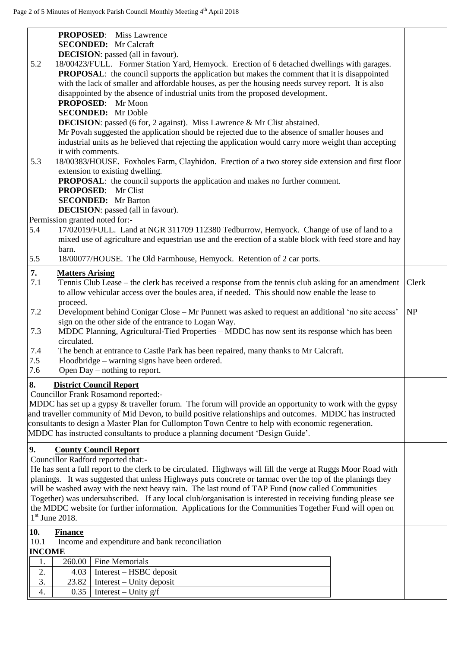|                       | <b>PROPOSED:</b> Miss Lawrence<br><b>SECONDED:</b> Mr Calcraft                                                            |       |
|-----------------------|---------------------------------------------------------------------------------------------------------------------------|-------|
|                       | <b>DECISION</b> : passed (all in favour).                                                                                 |       |
| 5.2                   | 18/00423/FULL. Former Station Yard, Hemyock. Erection of 6 detached dwellings with garages.                               |       |
|                       | <b>PROPOSAL:</b> the council supports the application but makes the comment that it is disappointed                       |       |
|                       | with the lack of smaller and affordable houses, as per the housing needs survey report. It is also                        |       |
|                       | disappointed by the absence of industrial units from the proposed development.                                            |       |
|                       | <b>PROPOSED:</b> Mr Moon<br><b>SECONDED:</b> Mr Doble                                                                     |       |
|                       | <b>DECISION</b> : passed (6 for, 2 against). Miss Lawrence & Mr Clist abstained.                                          |       |
|                       | Mr Povah suggested the application should be rejected due to the absence of smaller houses and                            |       |
|                       | industrial units as he believed that rejecting the application would carry more weight than accepting                     |       |
|                       | it with comments.                                                                                                         |       |
| 5.3                   | 18/00383/HOUSE. Foxholes Farm, Clayhidon. Erection of a two storey side extension and first floor                         |       |
|                       | extension to existing dwelling.                                                                                           |       |
|                       | <b>PROPOSAL:</b> the council supports the application and makes no further comment.                                       |       |
|                       | <b>PROPOSED:</b> Mr Clist                                                                                                 |       |
|                       | <b>SECONDED:</b> Mr Barton<br><b>DECISION</b> : passed (all in favour).                                                   |       |
|                       | Permission granted noted for:-                                                                                            |       |
| 5.4                   | 17/02019/FULL. Land at NGR 311709 112380 Tedburrow, Hemyock. Change of use of land to a                                   |       |
|                       | mixed use of agriculture and equestrian use and the erection of a stable block with feed store and hay                    |       |
|                       | barn.                                                                                                                     |       |
| 5.5                   | 18/00077/HOUSE. The Old Farmhouse, Hemyock. Retention of 2 car ports.                                                     |       |
| 7.                    | <b>Matters Arising</b>                                                                                                    |       |
| 7.1                   | Tennis Club Lease – the clerk has received a response from the tennis club asking for an amendment                        | Clerk |
|                       | to allow vehicular access over the boules area, if needed. This should now enable the lease to                            |       |
|                       | proceed.                                                                                                                  |       |
| 7.2                   | Development behind Conigar Close - Mr Punnett was asked to request an additional 'no site access'                         | NP    |
|                       | sign on the other side of the entrance to Logan Way.                                                                      |       |
| 7.3                   | MDDC Planning, Agricultural-Tied Properties - MDDC has now sent its response which has been<br>circulated.                |       |
| 7.4                   | The bench at entrance to Castle Park has been repaired, many thanks to Mr Calcraft.                                       |       |
| 7.5                   | Floodbridge – warning signs have been ordered.                                                                            |       |
| 7.6                   | Open $Day$ – nothing to report.                                                                                           |       |
| 8.                    | <b>District Council Report</b>                                                                                            |       |
|                       | Councillor Frank Rosamond reported:-                                                                                      |       |
|                       | MDDC has set up a gypsy $\&$ traveller forum. The forum will provide an opportunity to work with the gypsy                |       |
|                       | and traveller community of Mid Devon, to build positive relationships and outcomes. MDDC has instructed                   |       |
|                       | consultants to design a Master Plan for Cullompton Town Centre to help with economic regeneration.                        |       |
|                       | MDDC has instructed consultants to produce a planning document 'Design Guide'.                                            |       |
| 9.                    | <b>County Council Report</b>                                                                                              |       |
|                       | Councillor Radford reported that:-                                                                                        |       |
|                       | He has sent a full report to the clerk to be circulated. Highways will fill the verge at Ruggs Moor Road with             |       |
|                       | planings. It was suggested that unless Highways puts concrete or tarmac over the top of the planings they                 |       |
|                       | will be washed away with the next heavy rain. The last round of TAP Fund (now called Communities                          |       |
|                       | Together) was undersubscribed. If any local club/organisation is interested in receiving funding please see               |       |
|                       | the MDDC website for further information. Applications for the Communities Together Fund will open on<br>$1st$ June 2018. |       |
|                       |                                                                                                                           |       |
| 10.                   | <b>Finance</b>                                                                                                            |       |
| 10.1<br><b>INCOME</b> | Income and expenditure and bank reconciliation                                                                            |       |
| 1.                    | Fine Memorials<br>260.00                                                                                                  |       |
| 2.                    | Interest - HSBC deposit<br>4.03                                                                                           |       |
| 3.                    | 23.82<br>$Interest - Unity deposit$                                                                                       |       |
| 4.                    | Interest – Unity $g/f$<br>0.35                                                                                            |       |
|                       |                                                                                                                           |       |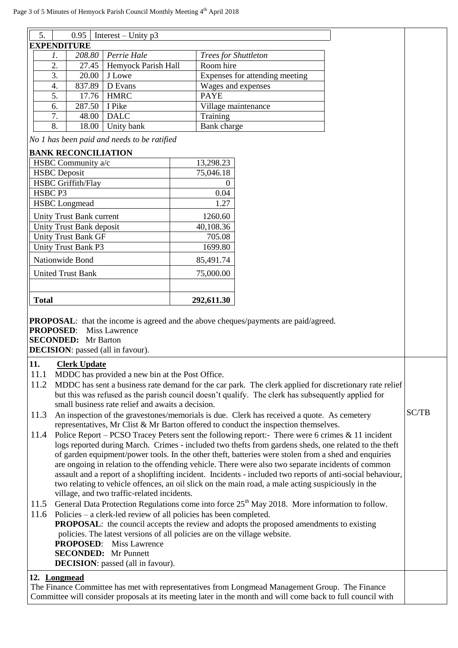| 5.<br>0.95<br>Interest – Unity $p3$                                                                                                                                  |                                                                                                       |                                                                   |  |                                |                                                                                                      |                                                                                                            |       |
|----------------------------------------------------------------------------------------------------------------------------------------------------------------------|-------------------------------------------------------------------------------------------------------|-------------------------------------------------------------------|--|--------------------------------|------------------------------------------------------------------------------------------------------|------------------------------------------------------------------------------------------------------------|-------|
|                                                                                                                                                                      | <b>EXPENDITURE</b>                                                                                    |                                                                   |  |                                |                                                                                                      |                                                                                                            |       |
| 1.                                                                                                                                                                   | 208.80                                                                                                | Perrie Hale                                                       |  | Trees for Shuttleton           |                                                                                                      |                                                                                                            |       |
| 2.                                                                                                                                                                   | 27.45                                                                                                 | Hemyock Parish Hall                                               |  | Room hire                      |                                                                                                      |                                                                                                            |       |
| 3.                                                                                                                                                                   | 20.00                                                                                                 | J Lowe                                                            |  | Expenses for attending meeting |                                                                                                      |                                                                                                            |       |
| 4.                                                                                                                                                                   | 837.89                                                                                                | D Evans                                                           |  | Wages and expenses             |                                                                                                      |                                                                                                            |       |
|                                                                                                                                                                      | 5.<br><b>HMRC</b><br>17.76                                                                            |                                                                   |  | <b>PAYE</b>                    |                                                                                                      |                                                                                                            |       |
| 6.                                                                                                                                                                   | 287.50                                                                                                | I Pike                                                            |  | Village maintenance            |                                                                                                      |                                                                                                            |       |
| 7.                                                                                                                                                                   | 48.00                                                                                                 | <b>DALC</b>                                                       |  | Training                       |                                                                                                      |                                                                                                            |       |
| 8.                                                                                                                                                                   | 18.00                                                                                                 | Unity bank                                                        |  | Bank charge                    |                                                                                                      |                                                                                                            |       |
|                                                                                                                                                                      |                                                                                                       | No 1 has been paid and needs to be ratified                       |  |                                |                                                                                                      |                                                                                                            |       |
|                                                                                                                                                                      | <b>BANK RECONCILIATION</b>                                                                            |                                                                   |  |                                |                                                                                                      |                                                                                                            |       |
|                                                                                                                                                                      | HSBC Community a/c                                                                                    |                                                                   |  | 13,298.23                      |                                                                                                      |                                                                                                            |       |
| <b>HSBC</b> Deposit                                                                                                                                                  |                                                                                                       |                                                                   |  | 75,046.18                      |                                                                                                      |                                                                                                            |       |
|                                                                                                                                                                      | <b>HSBC</b> Griffith/Flay                                                                             |                                                                   |  | 0                              |                                                                                                      |                                                                                                            |       |
| HSBC <sub>P3</sub>                                                                                                                                                   |                                                                                                       |                                                                   |  | 0.04                           |                                                                                                      |                                                                                                            |       |
|                                                                                                                                                                      | <b>HSBC</b> Longmead                                                                                  |                                                                   |  | 1.27                           |                                                                                                      |                                                                                                            |       |
|                                                                                                                                                                      |                                                                                                       |                                                                   |  |                                |                                                                                                      |                                                                                                            |       |
|                                                                                                                                                                      | Unity Trust Bank current                                                                              |                                                                   |  | 1260.60                        |                                                                                                      |                                                                                                            |       |
|                                                                                                                                                                      | Unity Trust Bank deposit                                                                              |                                                                   |  | 40,108.36                      |                                                                                                      |                                                                                                            |       |
|                                                                                                                                                                      | <b>Unity Trust Bank GF</b>                                                                            |                                                                   |  | 705.08                         |                                                                                                      |                                                                                                            |       |
|                                                                                                                                                                      | Unity Trust Bank P3                                                                                   |                                                                   |  | 1699.80                        |                                                                                                      |                                                                                                            |       |
|                                                                                                                                                                      | Nationwide Bond                                                                                       |                                                                   |  | 85,491.74                      |                                                                                                      |                                                                                                            |       |
|                                                                                                                                                                      | <b>United Trust Bank</b>                                                                              |                                                                   |  | 75,000.00                      |                                                                                                      |                                                                                                            |       |
|                                                                                                                                                                      |                                                                                                       |                                                                   |  |                                |                                                                                                      |                                                                                                            |       |
|                                                                                                                                                                      |                                                                                                       |                                                                   |  |                                |                                                                                                      |                                                                                                            |       |
| <b>Total</b>                                                                                                                                                         |                                                                                                       |                                                                   |  | 292,611.30                     |                                                                                                      |                                                                                                            |       |
| <b>PROPOSAL:</b> that the income is agreed and the above cheques/payments are paid/agreed.<br><b>PROPOSED:</b><br><b>Miss Lawrence</b><br><b>SECONDED:</b> Mr Barton |                                                                                                       |                                                                   |  |                                |                                                                                                      |                                                                                                            |       |
|                                                                                                                                                                      |                                                                                                       | <b>DECISION</b> : passed (all in favour).                         |  |                                |                                                                                                      |                                                                                                            |       |
| 11.                                                                                                                                                                  | <b>Clerk Update</b>                                                                                   |                                                                   |  |                                |                                                                                                      |                                                                                                            |       |
| 11.1                                                                                                                                                                 |                                                                                                       | MDDC has provided a new bin at the Post Office.                   |  |                                |                                                                                                      |                                                                                                            |       |
| 11.2                                                                                                                                                                 |                                                                                                       |                                                                   |  |                                |                                                                                                      | MDDC has sent a business rate demand for the car park. The clerk applied for discretionary rate relief     |       |
|                                                                                                                                                                      |                                                                                                       |                                                                   |  |                                | but this was refused as the parish council doesn't qualify. The clerk has subsequently applied for   |                                                                                                            |       |
|                                                                                                                                                                      |                                                                                                       | small business rate relief and awaits a decision.                 |  |                                |                                                                                                      |                                                                                                            |       |
| 11.3                                                                                                                                                                 |                                                                                                       |                                                                   |  |                                | An inspection of the gravestones/memorials is due. Clerk has received a quote. As cemetery           |                                                                                                            | SC/TB |
| representatives, Mr Clist & Mr Barton offered to conduct the inspection themselves.                                                                                  |                                                                                                       |                                                                   |  |                                |                                                                                                      |                                                                                                            |       |
| 11.4                                                                                                                                                                 | Police Report – PCSO Tracey Peters sent the following report:- There were 6 crimes & 11 incident      |                                                                   |  |                                |                                                                                                      |                                                                                                            |       |
|                                                                                                                                                                      | logs reported during March. Crimes - included two thefts from gardens sheds, one related to the theft |                                                                   |  |                                |                                                                                                      |                                                                                                            |       |
|                                                                                                                                                                      |                                                                                                       |                                                                   |  |                                | of garden equipment/power tools. In the other theft, batteries were stolen from a shed and enquiries |                                                                                                            |       |
|                                                                                                                                                                      |                                                                                                       |                                                                   |  |                                | are ongoing in relation to the offending vehicle. There were also two separate incidents of common   |                                                                                                            |       |
|                                                                                                                                                                      |                                                                                                       |                                                                   |  |                                |                                                                                                      | assault and a report of a shoplifting incident. Incidents - included two reports of anti-social behaviour, |       |
|                                                                                                                                                                      |                                                                                                       |                                                                   |  |                                | two relating to vehicle offences, an oil slick on the main road, a male acting suspiciously in the   |                                                                                                            |       |
| village, and two traffic-related incidents.<br>General Data Protection Regulations come into force 25 <sup>th</sup> May 2018. More information to follow.            |                                                                                                       |                                                                   |  |                                |                                                                                                      |                                                                                                            |       |
| 11.5                                                                                                                                                                 |                                                                                                       |                                                                   |  |                                |                                                                                                      |                                                                                                            |       |
| 11.6                                                                                                                                                                 |                                                                                                       | Policies – a clerk-led review of all policies has been completed. |  |                                |                                                                                                      |                                                                                                            |       |
|                                                                                                                                                                      |                                                                                                       |                                                                   |  |                                | <b>PROPOSAL:</b> the council accepts the review and adopts the proposed amendments to existing       |                                                                                                            |       |
| policies. The latest versions of all policies are on the village website.                                                                                            |                                                                                                       |                                                                   |  |                                |                                                                                                      |                                                                                                            |       |
| <b>PROPOSED:</b> Miss Lawrence                                                                                                                                       |                                                                                                       |                                                                   |  |                                |                                                                                                      |                                                                                                            |       |
| <b>SECONDED:</b> Mr Punnett                                                                                                                                          |                                                                                                       |                                                                   |  |                                |                                                                                                      |                                                                                                            |       |
| <b>DECISION</b> : passed (all in favour).                                                                                                                            |                                                                                                       |                                                                   |  |                                |                                                                                                      |                                                                                                            |       |
| 12. Longmead                                                                                                                                                         |                                                                                                       |                                                                   |  |                                |                                                                                                      |                                                                                                            |       |
|                                                                                                                                                                      |                                                                                                       |                                                                   |  |                                | The Finance Committee has met with representatives from Longmead Management Group. The Finance       |                                                                                                            |       |
| Committee will consider proposals at its meeting later in the month and will come back to full council with                                                          |                                                                                                       |                                                                   |  |                                |                                                                                                      |                                                                                                            |       |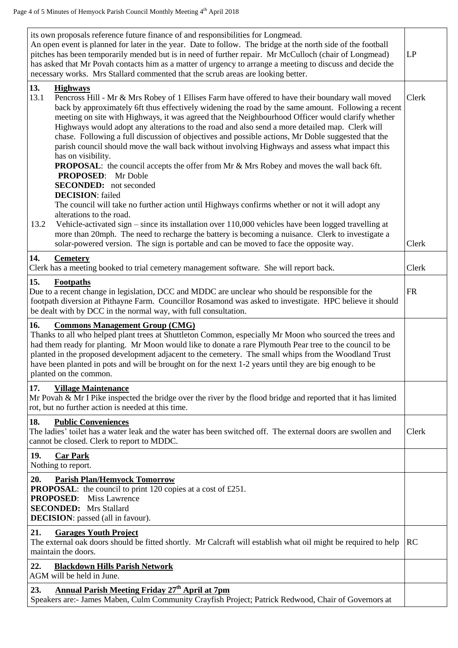| its own proposals reference future finance of and responsibilities for Longmead.<br>An open event is planned for later in the year. Date to follow. The bridge at the north side of the football<br>pitches has been temporarily mended but is in need of further repair. Mr McCulloch (chair of Longmead)<br>has asked that Mr Povah contacts him as a matter of urgency to arrange a meeting to discuss and decide the<br>necessary works. Mrs Stallard commented that the scrub areas are looking better.                                                                                                                                                                                                                                                                                                                                                               |           |  |  |  |
|----------------------------------------------------------------------------------------------------------------------------------------------------------------------------------------------------------------------------------------------------------------------------------------------------------------------------------------------------------------------------------------------------------------------------------------------------------------------------------------------------------------------------------------------------------------------------------------------------------------------------------------------------------------------------------------------------------------------------------------------------------------------------------------------------------------------------------------------------------------------------|-----------|--|--|--|
| 13.<br><b>Highways</b><br>13.1<br>Pencross Hill - Mr & Mrs Robey of 1 Ellises Farm have offered to have their boundary wall moved<br>back by approximately 6ft thus effectively widening the road by the same amount. Following a recent<br>meeting on site with Highways, it was agreed that the Neighbourhood Officer would clarify whether<br>Highways would adopt any alterations to the road and also send a more detailed map. Clerk will<br>chase. Following a full discussion of objectives and possible actions, Mr Doble suggested that the<br>parish council should move the wall back without involving Highways and assess what impact this<br>has on visibility.<br><b>PROPOSAL:</b> the council accepts the offer from Mr & Mrs Robey and moves the wall back 6ft.<br><b>PROPOSED:</b> Mr Doble<br><b>SECONDED:</b> not seconded<br><b>DECISION:</b> failed | Clerk     |  |  |  |
| The council will take no further action until Highways confirms whether or not it will adopt any<br>alterations to the road.<br>13.2<br>Vehicle-activated sign – since its installation over 110,000 vehicles have been logged travelling at<br>more than 20mph. The need to recharge the battery is becoming a nuisance. Clerk to investigate a<br>solar-powered version. The sign is portable and can be moved to face the opposite way.                                                                                                                                                                                                                                                                                                                                                                                                                                 | Clerk     |  |  |  |
| 14.<br><b>Cemetery</b><br>Clerk has a meeting booked to trial cemetery management software. She will report back.                                                                                                                                                                                                                                                                                                                                                                                                                                                                                                                                                                                                                                                                                                                                                          | Clerk     |  |  |  |
| 15.<br>Footpaths<br>Due to a recent change in legislation, DCC and MDDC are unclear who should be responsible for the<br>footpath diversion at Pithayne Farm. Councillor Rosamond was asked to investigate. HPC believe it should<br>be dealt with by DCC in the normal way, with full consultation.                                                                                                                                                                                                                                                                                                                                                                                                                                                                                                                                                                       | <b>FR</b> |  |  |  |
| 16.<br><b>Commons Management Group (CMG)</b><br>Thanks to all who helped plant trees at Shuttleton Common, especially Mr Moon who sourced the trees and<br>had them ready for planting. Mr Moon would like to donate a rare Plymouth Pear tree to the council to be                                                                                                                                                                                                                                                                                                                                                                                                                                                                                                                                                                                                        |           |  |  |  |
| planted in the proposed development adjacent to the cemetery. The small whips from the Woodland Trust<br>have been planted in pots and will be brought on for the next 1-2 years until they are big enough to be<br>planted on the common.                                                                                                                                                                                                                                                                                                                                                                                                                                                                                                                                                                                                                                 |           |  |  |  |
| 17.<br><b>Village Maintenance</b><br>Mr Povah & Mr I Pike inspected the bridge over the river by the flood bridge and reported that it has limited<br>rot, but no further action is needed at this time.                                                                                                                                                                                                                                                                                                                                                                                                                                                                                                                                                                                                                                                                   |           |  |  |  |
| 18.<br><b>Public Conveniences</b><br>The ladies' toilet has a water leak and the water has been switched off. The external doors are swollen and<br>cannot be closed. Clerk to report to MDDC.                                                                                                                                                                                                                                                                                                                                                                                                                                                                                                                                                                                                                                                                             | Clerk     |  |  |  |
| 19.<br><b>Car Park</b><br>Nothing to report.                                                                                                                                                                                                                                                                                                                                                                                                                                                                                                                                                                                                                                                                                                                                                                                                                               |           |  |  |  |
| 20.<br><b>Parish Plan/Hemyock Tomorrow</b><br><b>PROPOSAL:</b> the council to print 120 copies at a cost of £251.<br><b>PROPOSED:</b> Miss Lawrence<br><b>SECONDED:</b> Mrs Stallard<br><b>DECISION</b> : passed (all in favour).                                                                                                                                                                                                                                                                                                                                                                                                                                                                                                                                                                                                                                          |           |  |  |  |
| 21.<br><b>Garages Youth Project</b><br>The external oak doors should be fitted shortly. Mr Calcraft will establish what oil might be required to help<br>maintain the doors.                                                                                                                                                                                                                                                                                                                                                                                                                                                                                                                                                                                                                                                                                               | RC        |  |  |  |
| 22.<br><b>Blackdown Hills Parish Network</b><br>AGM will be held in June.                                                                                                                                                                                                                                                                                                                                                                                                                                                                                                                                                                                                                                                                                                                                                                                                  |           |  |  |  |